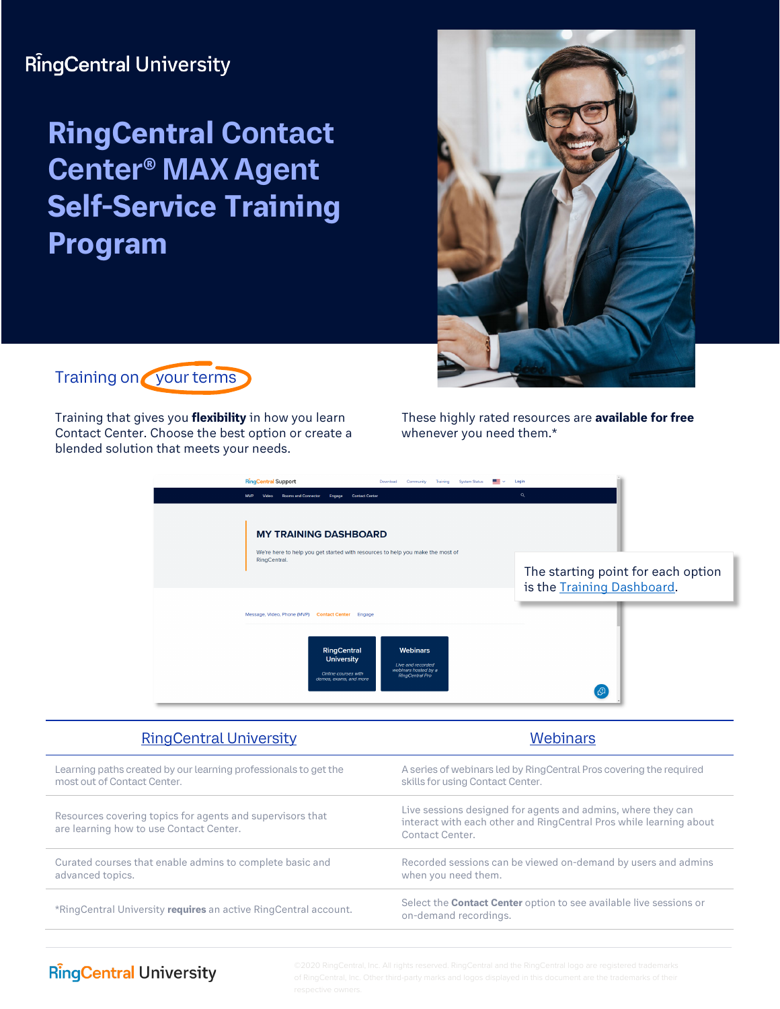# **RingCentral University**

**RingCentral Contact Center® MAX Agent Self-Service Training Program**





Training that gives you **flexibility** in how you learn Contact Center. Choose the best option or create a blended solution that meets your needs.

These highly rated resources are **available for free** whenever you need them.\*

| <b>RingCentral Support</b><br>Download<br>Community<br>Training<br>System Status<br><b>MVP</b><br><b>Rooms and Connector</b><br><b>Contact Center</b><br>Video<br>Engage    | Login<br>$\alpha$                                                |
|-----------------------------------------------------------------------------------------------------------------------------------------------------------------------------|------------------------------------------------------------------|
| <b>MY TRAINING DASHBOARD</b>                                                                                                                                                |                                                                  |
| We're here to help you get started with resources to help you make the most of<br>RingCentral.                                                                              | The starting point for each option<br>is the Training Dashboard. |
| Message, Video, Phone (MVP) Contact Center Engage                                                                                                                           |                                                                  |
| RingCentral<br><b>Webinars</b><br><b>University</b><br>Live and recorded<br>webinars hosted by a<br>Online courses with<br><b>RingCentral Pro</b><br>demos, exams, and more | $\mathcal{Q}$                                                    |

| <b>RingCentral University</b>                                                                        | <b>Webinars</b>                                                                                                                                       |
|------------------------------------------------------------------------------------------------------|-------------------------------------------------------------------------------------------------------------------------------------------------------|
| Learning paths created by our learning professionals to get the<br>most out of Contact Center.       | A series of webinars led by RingCentral Pros covering the required<br>skills for using Contact Center.                                                |
| Resources covering topics for agents and supervisors that<br>are learning how to use Contact Center. | Live sessions designed for agents and admins, where they can<br>interact with each other and RingCentral Pros while learning about<br>Contact Center. |
| Curated courses that enable admins to complete basic and<br>advanced topics.                         | Recorded sessions can be viewed on-demand by users and admins<br>when you need them.                                                                  |
| *RingCentral University requires an active RingCentral account.                                      | Select the <b>Contact Center</b> option to see available live sessions or<br>on-demand recordings.                                                    |
|                                                                                                      |                                                                                                                                                       |

## **RingCentral University**